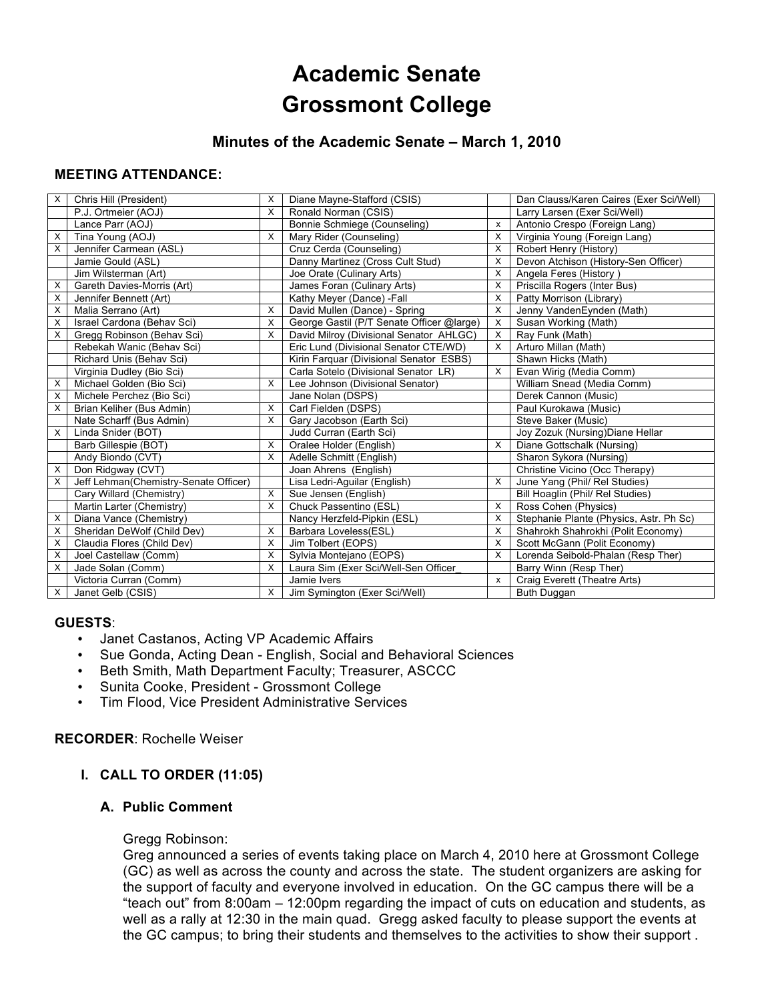# **Academic Senate Grossmont College**

# **Minutes of the Academic Senate – March 1, 2010**

# **MEETING ATTENDANCE:**

| X | Chris Hill (President)                | X        | Diane Mayne-Stafford (CSIS)               |          | Dan Clauss/Karen Caires (Exer Sci/Well) |
|---|---------------------------------------|----------|-------------------------------------------|----------|-----------------------------------------|
|   | P.J. Ortmeier (AOJ)                   | X        | Ronald Norman (CSIS)                      |          | Larry Larsen (Exer Sci/Well)            |
|   | Lance Parr (AOJ)                      |          | Bonnie Schmiege (Counseling)              | x        | Antonio Crespo (Foreign Lang)           |
| х | Tina Young (AOJ)                      | Х        | Mary Rider (Counseling)                   | X        | Virginia Young (Foreign Lang)           |
| X | Jennifer Carmean (ASL)                |          | Cruz Cerda (Counseling)                   | X        | Robert Henry (History)                  |
|   | Jamie Gould (ASL)                     |          | Danny Martinez (Cross Cult Stud)          | $\times$ | Devon Atchison (History-Sen Officer)    |
|   | Jim Wilsterman (Art)                  |          | Joe Orate (Culinary Arts)                 | X        | Angela Feres (History)                  |
| х | Gareth Davies-Morris (Art)            |          | James Foran (Culinary Arts)               | X        | Priscilla Rogers (Inter Bus)            |
| X | Jennifer Bennett (Art)                |          | Kathy Meyer (Dance) -Fall                 | X        | Patty Morrison (Library)                |
| X | Malia Serrano (Art)                   | $\times$ | David Mullen (Dance) - Spring             | X        | Jenny VandenEynden (Math)               |
| X | Israel Cardona (Behav Sci)            | X        | George Gastil (P/T Senate Officer @large) | X        | Susan Working (Math)                    |
| X | Gregg Robinson (Behav Sci)            | X        | David Milroy (Divisional Senator AHLGC)   | X        | Ray Funk (Math)                         |
|   | Rebekah Wanic (Behav Sci)             |          | Eric Lund (Divisional Senator CTE/WD)     | X        | Arturo Millan (Math)                    |
|   | Richard Unis (Behav Sci)              |          | Kirin Farquar (Divisional Senator ESBS)   |          | Shawn Hicks (Math)                      |
|   | Virginia Dudley (Bio Sci)             |          | Carla Sotelo (Divisional Senator LR)      | X        | Evan Wirig (Media Comm)                 |
| х | Michael Golden (Bio Sci)              | X        | Lee Johnson (Divisional Senator)          |          | William Snead (Media Comm)              |
| X | Michele Perchez (Bio Sci)             |          | Jane Nolan (DSPS)                         |          | Derek Cannon (Music)                    |
| X | Brian Keliher (Bus Admin)             | X        | Carl Fielden (DSPS)                       |          | Paul Kurokawa (Music)                   |
|   | Nate Scharff (Bus Admin)              | X        | Gary Jacobson (Earth Sci)                 |          | Steve Baker (Music)                     |
| X | Linda Snider (BOT)                    |          | Judd Curran (Earth Sci)                   |          | Joy Zozuk (Nursing) Diane Hellar        |
|   | Barb Gillespie (BOT)                  | X        | Oralee Holder (English)                   | X        | Diane Gottschalk (Nursing)              |
|   | Andy Biondo (CVT)                     | X        | Adelle Schmitt (English)                  |          | Sharon Sykora (Nursing)                 |
| X | Don Ridgway (CVT)                     |          | Joan Ahrens (English)                     |          | Christine Vicino (Occ Therapy)          |
| х | Jeff Lehman(Chemistry-Senate Officer) |          | Lisa Ledri-Aguilar (English)              | X        | June Yang (Phil/ Rel Studies)           |
|   | Cary Willard (Chemistry)              | X        | Sue Jensen (English)                      |          | Bill Hoaglin (Phil/ Rel Studies)        |
|   | Martin Larter (Chemistry)             | X        | Chuck Passentino (ESL)                    | X        | Ross Cohen (Physics)                    |
| X | Diana Vance (Chemistry)               |          | Nancy Herzfeld-Pipkin (ESL)               | X        | Stephanie Plante (Physics, Astr. Ph Sc) |
| X | Sheridan DeWolf (Child Dev)           | X        | Barbara Loveless(ESL)                     | X        | Shahrokh Shahrokhi (Polit Economy)      |
| X | Claudia Flores (Child Dev)            | X        | Jim Tolbert (EOPS)                        | X        | Scott McGann (Polit Economy)            |
| X | Joel Castellaw (Comm)                 | X        | Sylvia Montejano (EOPS)                   | Х        | Lorenda Seibold-Phalan (Resp Ther)      |
| X | Jade Solan (Comm)                     | X        | Laura Sim (Exer Sci/Well-Sen Officer      |          | Barry Winn (Resp Ther)                  |
|   | Victoria Curran (Comm)                |          | Jamie Ivers                               | x        | Craig Everett (Theatre Arts)            |
| X | Janet Gelb (CSIS)                     | X        | Jim Symington (Exer Sci/Well)             |          | Buth Duggan                             |

#### **GUESTS**:

- Janet Castanos, Acting VP Academic Affairs<br>• Sue Gonda, Acting Dean English, Social an
- Sue Gonda, Acting Dean English, Social and Behavioral Sciences
- Beth Smith, Math Department Faculty; Treasurer, ASCCC
- Sunita Cooke, President Grossmont College<br>• Tim Flood, Vice President Administrative Serv
- Tim Flood, Vice President Administrative Services

# **RECORDER**: Rochelle Weiser

# **I. CALL TO ORDER (11:05)**

# **A. Public Comment**

#### Gregg Robinson:

Greg announced a series of events taking place on March 4, 2010 here at Grossmont College (GC) as well as across the county and across the state. The student organizers are asking for the support of faculty and everyone involved in education. On the GC campus there will be a "teach out" from 8:00am – 12:00pm regarding the impact of cuts on education and students, as well as a rally at 12:30 in the main quad. Gregg asked faculty to please support the events at the GC campus; to bring their students and themselves to the activities to show their support .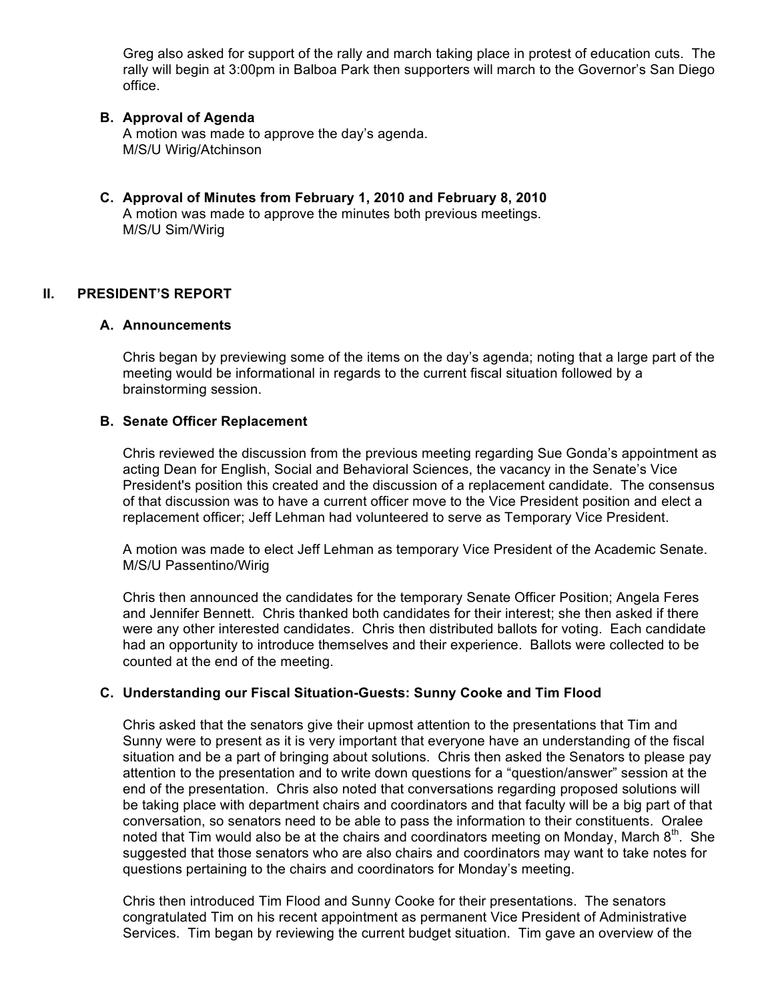Greg also asked for support of the rally and march taking place in protest of education cuts. The rally will begin at 3:00pm in Balboa Park then supporters will march to the Governor's San Diego office.

#### **B. Approval of Agenda**

A motion was made to approve the day's agenda. M/S/U Wirig/Atchinson

**C. Approval of Minutes from February 1, 2010 and February 8, 2010** A motion was made to approve the minutes both previous meetings. M/S/U Sim/Wirig

# **II. PRESIDENT'S REPORT**

#### **A. Announcements**

Chris began by previewing some of the items on the day's agenda; noting that a large part of the meeting would be informational in regards to the current fiscal situation followed by a brainstorming session.

#### **B. Senate Officer Replacement**

Chris reviewed the discussion from the previous meeting regarding Sue Gonda's appointment as acting Dean for English, Social and Behavioral Sciences, the vacancy in the Senate's Vice President's position this created and the discussion of a replacement candidate. The consensus of that discussion was to have a current officer move to the Vice President position and elect a replacement officer; Jeff Lehman had volunteered to serve as Temporary Vice President.

A motion was made to elect Jeff Lehman as temporary Vice President of the Academic Senate. M/S/U Passentino/Wirig

Chris then announced the candidates for the temporary Senate Officer Position; Angela Feres and Jennifer Bennett. Chris thanked both candidates for their interest; she then asked if there were any other interested candidates. Chris then distributed ballots for voting. Each candidate had an opportunity to introduce themselves and their experience. Ballots were collected to be counted at the end of the meeting.

#### **C. Understanding our Fiscal Situation-Guests: Sunny Cooke and Tim Flood**

Chris asked that the senators give their upmost attention to the presentations that Tim and Sunny were to present as it is very important that everyone have an understanding of the fiscal situation and be a part of bringing about solutions. Chris then asked the Senators to please pay attention to the presentation and to write down questions for a "question/answer" session at the end of the presentation. Chris also noted that conversations regarding proposed solutions will be taking place with department chairs and coordinators and that faculty will be a big part of that conversation, so senators need to be able to pass the information to their constituents. Oralee noted that Tim would also be at the chairs and coordinators meeting on Monday, March  $8<sup>th</sup>$ . She suggested that those senators who are also chairs and coordinators may want to take notes for questions pertaining to the chairs and coordinators for Monday's meeting.

Chris then introduced Tim Flood and Sunny Cooke for their presentations. The senators congratulated Tim on his recent appointment as permanent Vice President of Administrative Services. Tim began by reviewing the current budget situation. Tim gave an overview of the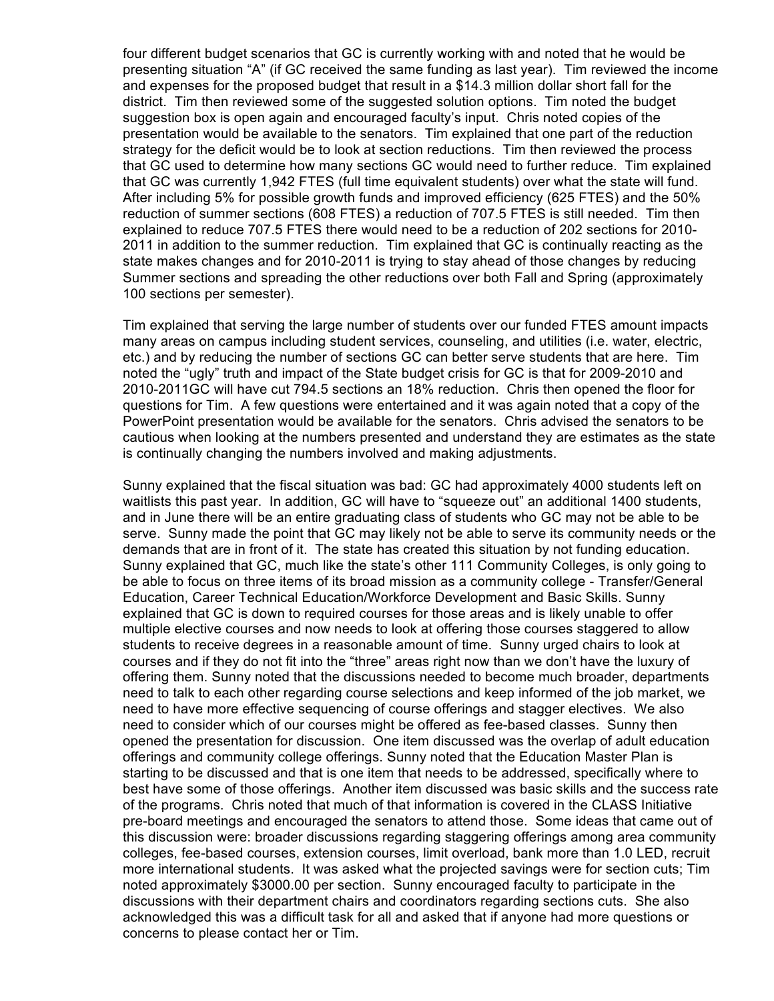four different budget scenarios that GC is currently working with and noted that he would be presenting situation "A" (if GC received the same funding as last year). Tim reviewed the income and expenses for the proposed budget that result in a \$14.3 million dollar short fall for the district. Tim then reviewed some of the suggested solution options. Tim noted the budget suggestion box is open again and encouraged faculty's input. Chris noted copies of the presentation would be available to the senators. Tim explained that one part of the reduction strategy for the deficit would be to look at section reductions. Tim then reviewed the process that GC used to determine how many sections GC would need to further reduce. Tim explained that GC was currently 1,942 FTES (full time equivalent students) over what the state will fund. After including 5% for possible growth funds and improved efficiency (625 FTES) and the 50% reduction of summer sections (608 FTES) a reduction of 707.5 FTES is still needed. Tim then explained to reduce 707.5 FTES there would need to be a reduction of 202 sections for 2010- 2011 in addition to the summer reduction. Tim explained that GC is continually reacting as the state makes changes and for 2010-2011 is trying to stay ahead of those changes by reducing Summer sections and spreading the other reductions over both Fall and Spring (approximately 100 sections per semester).

Tim explained that serving the large number of students over our funded FTES amount impacts many areas on campus including student services, counseling, and utilities (i.e. water, electric, etc.) and by reducing the number of sections GC can better serve students that are here. Tim noted the "ugly" truth and impact of the State budget crisis for GC is that for 2009-2010 and 2010-2011GC will have cut 794.5 sections an 18% reduction. Chris then opened the floor for questions for Tim. A few questions were entertained and it was again noted that a copy of the PowerPoint presentation would be available for the senators. Chris advised the senators to be cautious when looking at the numbers presented and understand they are estimates as the state is continually changing the numbers involved and making adjustments.

Sunny explained that the fiscal situation was bad: GC had approximately 4000 students left on waitlists this past year. In addition, GC will have to "squeeze out" an additional 1400 students, and in June there will be an entire graduating class of students who GC may not be able to be serve. Sunny made the point that GC may likely not be able to serve its community needs or the demands that are in front of it. The state has created this situation by not funding education. Sunny explained that GC, much like the state's other 111 Community Colleges, is only going to be able to focus on three items of its broad mission as a community college - Transfer/General Education, Career Technical Education/Workforce Development and Basic Skills. Sunny explained that GC is down to required courses for those areas and is likely unable to offer multiple elective courses and now needs to look at offering those courses staggered to allow students to receive degrees in a reasonable amount of time. Sunny urged chairs to look at courses and if they do not fit into the "three" areas right now than we don't have the luxury of offering them. Sunny noted that the discussions needed to become much broader, departments need to talk to each other regarding course selections and keep informed of the job market, we need to have more effective sequencing of course offerings and stagger electives. We also need to consider which of our courses might be offered as fee-based classes. Sunny then opened the presentation for discussion. One item discussed was the overlap of adult education offerings and community college offerings. Sunny noted that the Education Master Plan is starting to be discussed and that is one item that needs to be addressed, specifically where to best have some of those offerings. Another item discussed was basic skills and the success rate of the programs. Chris noted that much of that information is covered in the CLASS Initiative pre-board meetings and encouraged the senators to attend those. Some ideas that came out of this discussion were: broader discussions regarding staggering offerings among area community colleges, fee-based courses, extension courses, limit overload, bank more than 1.0 LED, recruit more international students. It was asked what the projected savings were for section cuts; Tim noted approximately \$3000.00 per section. Sunny encouraged faculty to participate in the discussions with their department chairs and coordinators regarding sections cuts. She also acknowledged this was a difficult task for all and asked that if anyone had more questions or concerns to please contact her or Tim.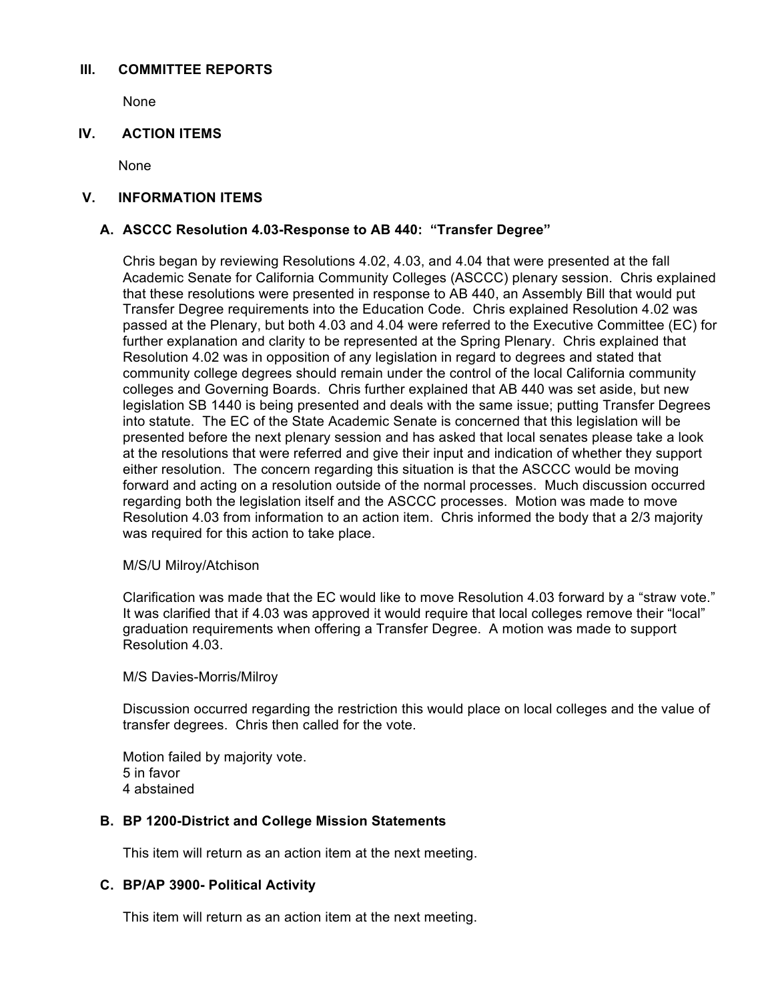#### **III. COMMITTEE REPORTS**

None

# **IV. ACTION ITEMS**

None

#### **V. INFORMATION ITEMS**

# **A. ASCCC Resolution 4.03-Response to AB 440: "Transfer Degree"**

Chris began by reviewing Resolutions 4.02, 4.03, and 4.04 that were presented at the fall Academic Senate for California Community Colleges (ASCCC) plenary session. Chris explained that these resolutions were presented in response to AB 440, an Assembly Bill that would put Transfer Degree requirements into the Education Code. Chris explained Resolution 4.02 was passed at the Plenary, but both 4.03 and 4.04 were referred to the Executive Committee (EC) for further explanation and clarity to be represented at the Spring Plenary. Chris explained that Resolution 4.02 was in opposition of any legislation in regard to degrees and stated that community college degrees should remain under the control of the local California community colleges and Governing Boards. Chris further explained that AB 440 was set aside, but new legislation SB 1440 is being presented and deals with the same issue; putting Transfer Degrees into statute. The EC of the State Academic Senate is concerned that this legislation will be presented before the next plenary session and has asked that local senates please take a look at the resolutions that were referred and give their input and indication of whether they support either resolution. The concern regarding this situation is that the ASCCC would be moving forward and acting on a resolution outside of the normal processes. Much discussion occurred regarding both the legislation itself and the ASCCC processes. Motion was made to move Resolution 4.03 from information to an action item. Chris informed the body that a 2/3 majority was required for this action to take place.

#### M/S/U Milroy/Atchison

Clarification was made that the EC would like to move Resolution 4.03 forward by a "straw vote." It was clarified that if 4.03 was approved it would require that local colleges remove their "local" graduation requirements when offering a Transfer Degree. A motion was made to support Resolution 4.03.

M/S Davies-Morris/Milroy

Discussion occurred regarding the restriction this would place on local colleges and the value of transfer degrees. Chris then called for the vote.

Motion failed by majority vote. 5 in favor 4 abstained

# **B. BP 1200-District and College Mission Statements**

This item will return as an action item at the next meeting.

#### **C. BP/AP 3900- Political Activity**

This item will return as an action item at the next meeting.